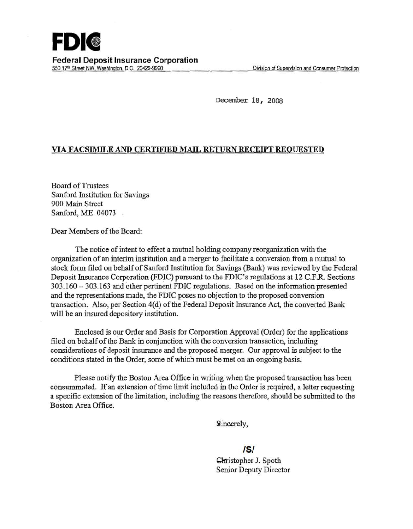December 18, 2008

### **VIA FACSIMILE AND CERTIFIED MAIL RETURN RECEIPT REQUESTED**

Board ofTrustees Sanford Institution for Savings 900 Main Street Sanford, ME 04073

Dear Members of the Board:

The notice of intent to effect a mutual holding company reorganization with the organization of an interim institution and a merger to facilitate a conversion from a mutual to stock form filed on behalf of Sanford Institution for Savings (Bank) was reviewed by the Federal Deposit Insurance Corporation (FDIC) pursuant to the FDIC's regulations at 12 C.F.R. Sections 303.160-303.163 and other pertinent FDIC regulations. Based on the information presented and the representations made, the FDIC poses no objection to the proposed conversion transaction. Also, per Section 4(d) of the Federal Deposit Insurance Act, the converted Bank will be an insured depository institution.

Enclosed is our Order and Basis for Corporation Approval (Order) for the applications filed on behalf of the Bank in conjunction with the conversion transaction, including considerations of deposit insurance and the proposed merger. Our approval is subject to the conditions stated in the Order, some of which must be met on an ongoing basis.

Please notify the Boston Area Office in writing when the proposed transaction has been consummated. If an extension of time limit included in the Order is required, a letter requesting a specific extension of the limitation, including the reasons therefore, should be submitted to the Boston Area Office.

Sinoerely,

#### **IS/**

Christopher J. Spoth Senior Deputy Director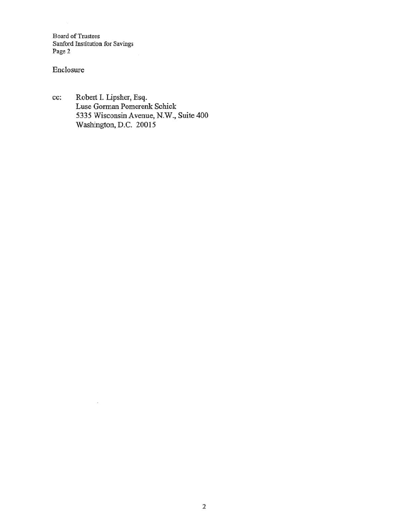Board of Trustees Sanford Institution for Savings Page 2

ò,

# Enclosure

cc: Robert I. Lipsher, Esq. Luse Gorman Pomerenk Schick 5335 Wisconsin Avenue, N.W., Suite 400 Washington, D.C. 20015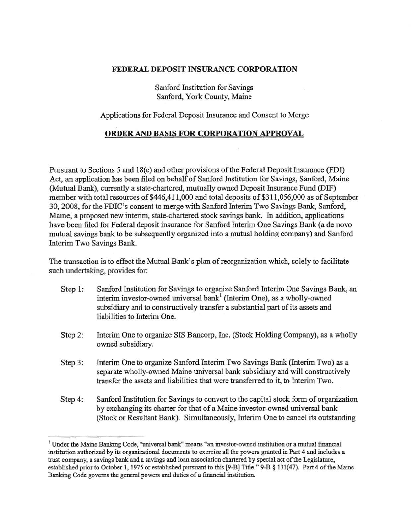### FEDERAL DEPOSIT INSURANCE CORPORATION

Sanford Institution for Savings Sanford, York County, Maine

Applications for Federal Deposit Insurance and Consent to Merge

## ORDER AND BASIS FOR CORPORATION APPROVAL

Pursuant to Sections 5 and 18(c) and other provisions of the Federal Deposit Insurance (FDI) Act, an application has been filed on behalf of Sanford Institution for Savings, Sanford, Maine (Mutual Bank), currently a state-chartered, mutually owned Deposit Insurance Fund (DlF) member with total resources of \$446,411,000 and total deposits of \$311,056,000 as of September 30, 2008, for the FDIC's consent to merge with Sanford Interim Two Savings Bank, Sanford, Maine, a proposed new interim, state-chartered stock savings bank. In addition, applications have been filed for Federal deposit insurance for Sanford Interim One Savings Bank (a de novo mutual savings bank to be subsequently organized into a mutual holding company) and Sanford Interim Two Savings Bank.

The transaction is to effect the Mutual Bank's plan of reorganization which, solely to facilitate such undertaking, provides for:

- Step 1: Sanford Institution for Savings to organize Sanford Interim One Savings Bank, an interim investor-owned universal bank<sup>1</sup> (Interim One), as a wholly-owned subsidiary and to constructively transfer a substantial part of its assets and liabilities to Interim One.
- Step 2: Interim One to organize SIS Bancorp, Inc. (Stock Holding Company), as a wholly owned subsidiary.
- Step 3: Interim One to organize Sanford Interim Two Savings Bank (Interim Two) as a separate wholly-owned Maine universal bank subsidiary and will constructively transfer the assets and liabilities that were transferred to it, to Interim Two.
- Step 4: Sanford Institution for Savings to convert to the capital stock form of organization by exchanging its charter for that of a Maine investor-owned universal bank (Stock or Resultant Bank). Simultaneously, Interim One to cancel its outstanding

<sup>&</sup>lt;sup>1</sup> Under the Maine Banking Code, "universal bank" means "an investor-owned institution or a mutual financial institution authorized by its organizational documents to exercise all the powers granted in Part 4 and includes a trust company, a savings bank and a savings and loan association chartered by special act of the Legislature, estab1ished prior to October 1, 1975 or established pursuant to this [9-B] Title." 9-B § 131(47). Part 4 of the Maine Banking Code governs the general powers and duties of a financial institution.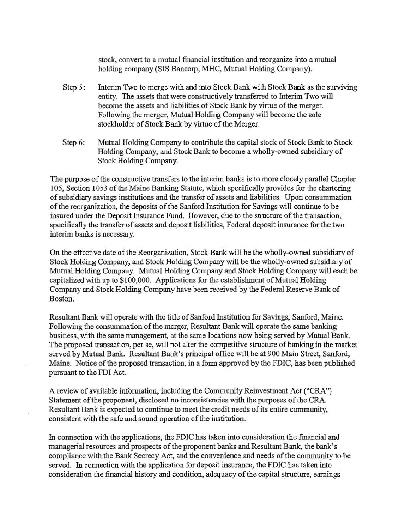stock. convert to a mutual financial institution and reorganize into a mutual holding company (SIS Bancorp, MHC, Mutual Holding Company).

- Step 5: Interim Two to merge with and into Stock Bank with Stock Bank as the surviving entity. The assets that were constructively transferred to Interim Two will become the assets and liabilities of Stock Bank by virtue of the merger. Following the merger, Mutual Holding Company will become the sole stockholder of Stock Bank by virtue of the Merger.
- Step 6: Mutual Holding Company to contribute the capital stock of Stock Bank to Stock Holding Company, and Stock Bank to become a wholly-owned subsidiary of Stock Holding Company.

The purpose of the constructive transfers to the interim banks is to more closely parallel Chapter 105, Section 1053 of the Maine Banking Statute, which specifically provides for the chartering of subsidiary savings institutions and the transfer of assets and liabilities. Upon consummation of the reorganization, the deposits of the Sanford Institution for Savings will continue to be insured under the Deposit Insurance Fund. However, due to the structure of the transaction, specifically the transfer of assets and deposit liabilities, Federal deposit insurance for the two interim banks is necessary.

On the effective date of the Reorganization, Stock Bank will be the wholly-owned subsidiary of Stock Holding Company, and Stock Holding Company will be the wholly-owned subsidiary of Mutual Holding Company. Mutual Holding Company and Stock Holding Company will each be capitalized with up to \$100,000. Applications for the establishment of Mutual Holding Company and Stock Holding Company have been received by the Federal Reserve Bank of Boston.

Resultant Bank will operate with the title of Sanford Institution for Savings, Sanford, Maine. Following the consummation of the merger, Resultant Bank will operate the same banking business, with the same management, at the same locations now being served by Mutual Bank. The proposed transaction, per se, will not alter the competitive structure of banking in the market served by Mutual Bank. Resultant Bank's principal office will be at 900 Main Street, Sanford, Maine. Notice of the proposed transaction, in a form approved by the FDIC, has been published pursuant to the FDI Act.

A review of available information, including the Community Reinvestment Act ("CRA") Statement of the proponent, disclosed no inconsistencies with the purposes of the CRA. Resultant Bank is expected to continue to meet the credit needs of its entire community, consistent with the safe and sound operation of the institution.

In connection with the applications, the FDIC has taken into consideration the financial and managerial resources and prospects of the proponent banks and Resultant Bank. the bank's compliance with the Bank Secrecy Act, and the convenience and needs of the community to be served. In connection with the application for deposit insurance, the FDIC has taken into consideration the financial history and condition, adequacy of the capital structure, earnings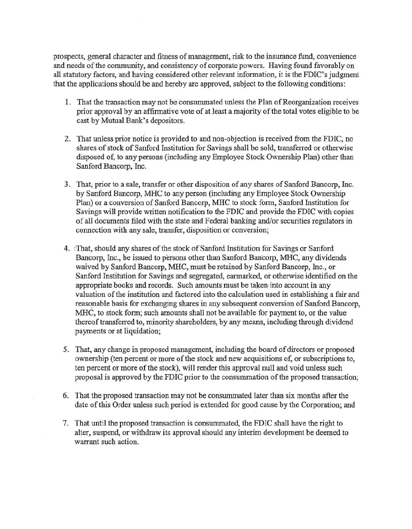prospects, general character and fitness of management, risk to the insurance fund, convenience and needs of the community, and consistency of corporate powers. Having found favorably on all statutory factors, and having considered other relevant information, it is the FDIC's judgment that the applications should be and hereby are approved, subject to the following conditions:

- 1. That the transaction may not be consummated unless the Plan of Reorganization receives prior approval by an affirmative vote of at least a majority of the total votes eligible to be cast by Mutual Bank's depositors.
- 2. That unless prior notice is provided to and non-objection is received from the FDIC, no shares of stock of Sanford Institution for Savings shall be sold, transferred or otherwise disposed of, to any persons (including any Employee Stock Ownership Plan) other than Sanford Bancorp, Inc.
- 3. That, prior to a sale, transfer or other disposition of any shares of Sanford Bancorp, Inc. by Sanford Bancorp, MHC to any person (including any Employee Stock Ownership Plan) or a conversion of Sanford Bancorp, MHC to stock form, Sanford Institution for Savings will provide written notification to the FDIC and provide the FDIC with copies of all documents filed with the state and Federal banking and/or securities regulators in connection with any sale, transfer, disposition or conversion;
- 4. That, should any shares of the stock of Sanford Institution for Savings or Sanford Bancorp, Inc., be issued to persons other than Sanford Bancorp, MHC, any dividends waived by Sanford Bancorp, MHC, must be retained by Sanford Bancorp, Inc., or Sanford Institution for Savings and segregated, earmarked, or otherwise identified on the appropriate books and records. Such amounts must be taken into account in any valuation of the institution and factored into the calculation used in establishing a fair and reasonable basis for exchanging shares in any subsequent conversion of Sanford Bancorp, MHC, to stock form; such amounts shall not be available for payment to, or the value thereof transferred to, minority shareholders, by any means, including through dividend payments or at liquidation;
- 5. That, any change in proposed management, including the board of directors or proposed ownership (ten percent or more of the stock and new acquisitions of, or subscriptions to, ten percent or more of the stock), will render this approval null and void unless such proposal is approved by the FDIC prior to the consummation of the proposed transaction;
- 6. That the proposed transaction may not be consuminated later than six months after the date of this Order unless such period is extended for good cause by the Corporation; and
- 7. That until the proposed transaction is consummated, the FDIC shall have the right to alter, suspend, or withdraw its approval should any interim development be deemed to warrant such action.